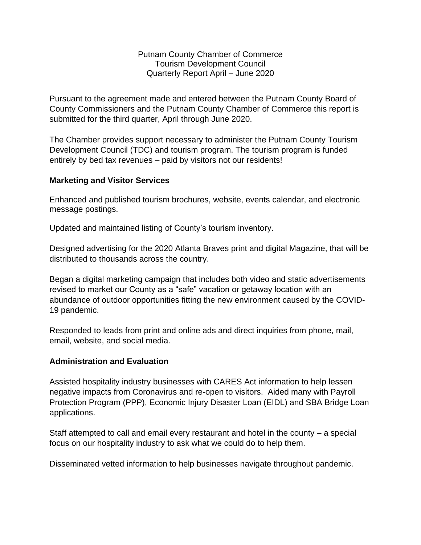Putnam County Chamber of Commerce Tourism Development Council Quarterly Report April – June 2020

Pursuant to the agreement made and entered between the Putnam County Board of County Commissioners and the Putnam County Chamber of Commerce this report is submitted for the third quarter, April through June 2020.

The Chamber provides support necessary to administer the Putnam County Tourism Development Council (TDC) and tourism program. The tourism program is funded entirely by bed tax revenues – paid by visitors not our residents!

## **Marketing and Visitor Services**

Enhanced and published tourism brochures, website, events calendar, and electronic message postings.

Updated and maintained listing of County's tourism inventory.

Designed advertising for the 2020 Atlanta Braves print and digital Magazine, that will be distributed to thousands across the country.

Began a digital marketing campaign that includes both video and static advertisements revised to market our County as a "safe" vacation or getaway location with an abundance of outdoor opportunities fitting the new environment caused by the COVID-19 pandemic.

Responded to leads from print and online ads and direct inquiries from phone, mail, email, website, and social media.

## **Administration and Evaluation**

Assisted hospitality industry businesses with CARES Act information to help lessen negative impacts from Coronavirus and re-open to visitors. Aided many with Payroll Protection Program (PPP), Economic Injury Disaster Loan (EIDL) and SBA Bridge Loan applications.

Staff attempted to call and email every restaurant and hotel in the county – a special focus on our hospitality industry to ask what we could do to help them.

Disseminated vetted information to help businesses navigate throughout pandemic.